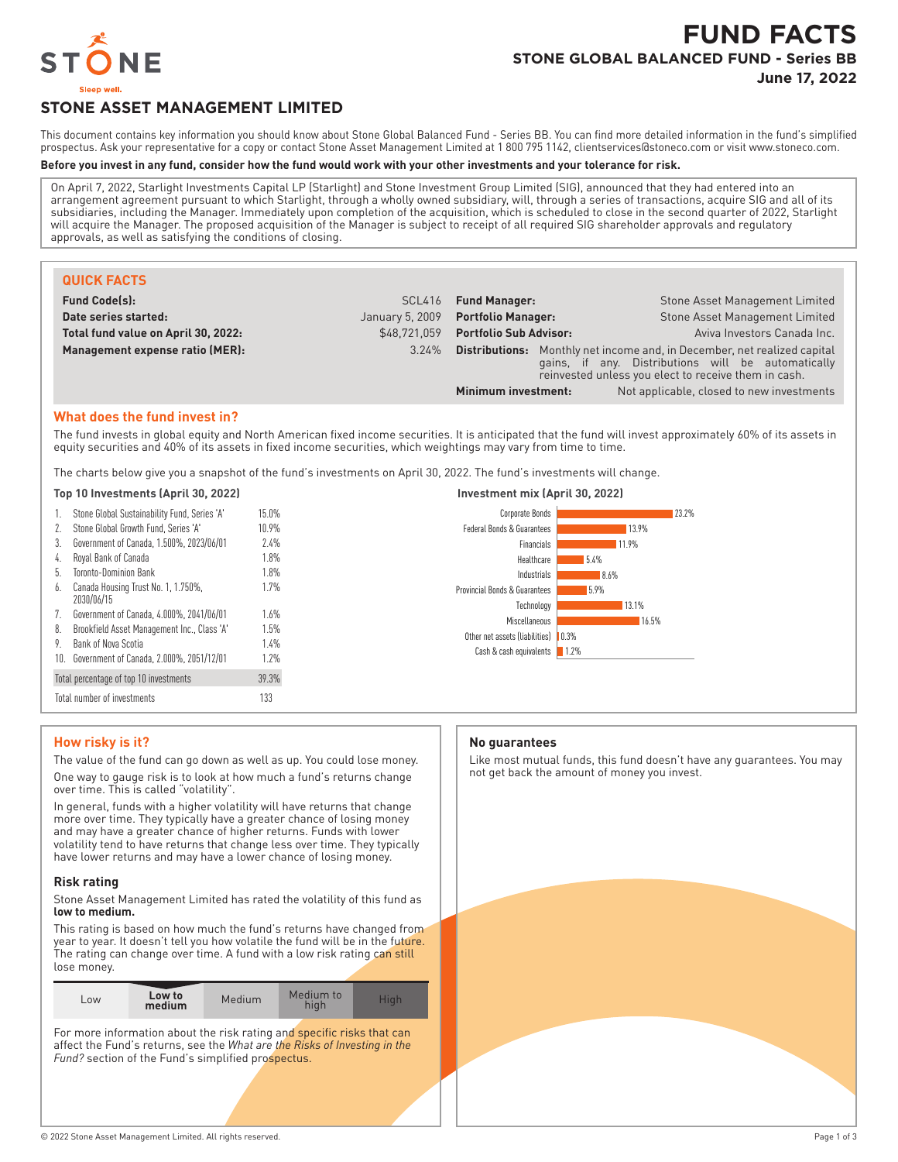

# **FUND FACTS STONE GLOBAL BALANCED FUND - Series BB June 17, 2022**

**STONE ASSET MANAGEMENT LIMITED**

This document contains key information you should know about Stone Global Balanced Fund - Series BB. You can find more detailed information in the fund's simplified prospectus. Ask your representative for a copy or contact Stone Asset Management Limited at 1 800 795 1142, clientservices@stoneco.com or visit www.stoneco.com.

#### **Before you invest in any fund, consider how the fund would work with your other investments and your tolerance for risk.**

On April 7, 2022, Starlight Investments Capital LP (Starlight) and Stone Investment Group Limited (SIG), announced that they had entered into an arrangement agreement pursuant to which Starlight, through a wholly owned subsidiary, will, through a series of transactions, acquire SIG and all of its subsidiaries, including the Manager. Immediately upon completion of the acquisition, which is scheduled to close in the second quarter of 2022, Starlight will acquire the Manager. The proposed acquisition of the Manager is subject to receipt of all required SIG shareholder approvals and regulatory approvals, as well as satisfying the conditions of closing.

| <b>QUICK FACTS</b>                  |                 |                               |                                                                                                                                                                                               |
|-------------------------------------|-----------------|-------------------------------|-----------------------------------------------------------------------------------------------------------------------------------------------------------------------------------------------|
| <b>Fund Code(s):</b>                | SCL416          | <b>Fund Manager:</b>          | Stone Asset Management Limited                                                                                                                                                                |
| Date series started:                | January 5, 2009 | <b>Portfolio Manager:</b>     | Stone Asset Management Limited                                                                                                                                                                |
| Total fund value on April 30, 2022: | \$48.721.059    | <b>Portfolio Sub Advisor:</b> | Aviva Investors Canada Inc.                                                                                                                                                                   |
| Management expense ratio (MER):     | 3.24%           |                               | <b>Distributions:</b> Monthly net income and, in December, net realized capital<br>gains, if any. Distributions will be automatically<br>reinvested unless you elect to receive them in cash. |
|                                     |                 | Minimum investment:           | Not applicable, closed to new investments                                                                                                                                                     |

#### **What does the fund invest in?**

The fund invests in global equity and North American fixed income securities. It is anticipated that the fund will invest approximately 60% of its assets in equity securities and 40% of its assets in fixed income securities, which weightings may vary from time to time.

The charts below give you a snapshot of the fund's investments on April 30, 2022. The fund's investments will change.

#### **Top 10 Investments (April 30, 2022) Investment mix (April 30, 2022)**

| 1.  | Stone Global Sustainability Fund, Series 'A'      | 15.0% |
|-----|---------------------------------------------------|-------|
| 2.  | Stone Global Growth Fund. Series 'A'              | 10.9% |
| 3.  | Government of Canada, 1.500%, 2023/06/01          | 7.4%  |
| 4.  | Royal Bank of Canada                              | 1.8%  |
| 5.  | Toronto-Dominion Bank                             | 1.8%  |
| 6.  | Canada Housing Trust No. 1, 1.750%,<br>2030/06/15 | 1.7%  |
| 7.  | Government of Canada, 4.000%, 2041/06/01          | 1.6%  |
| 8.  | Brookfield Asset Management Inc., Class 'A'       | 1.5%  |
| 9.  | Bank of Nova Scotia                               | 1.4%  |
| 10. | Government of Canada, 2.000%, 2051/12/01          | 1.7%  |
|     | Total percentage of top 10 investments            | 39.3% |
|     | Total number of investments                       | 133   |



## **How risky is it?**

The value of the fund can go down as well as up. You could lose money. One way to gauge risk is to look at how much a fund's returns change over time. This is called "volatility".

In general, funds with a higher volatility will have returns that change more over time. They typically have a greater chance of losing money and may have a greater chance of higher returns. Funds with lower volatility tend to have returns that change less over time. They typically have lower returns and may have a lower chance of losing money.

#### **Risk rating**

Stone Asset Management Limited has rated the volatility of this fund as **low to medium.**

This rating is based on how much the fund's returns have changed from year to year. It doesn't tell you how volatile the fund will be in the future. The rating can change over time. A fund with a low risk rating can still lose money.

| Low to<br>LOW<br>medium | <b>Medium</b> | Medium to<br>hiah | Hiah |
|-------------------------|---------------|-------------------|------|
|-------------------------|---------------|-------------------|------|

For more information about the risk rating and specific risks that can affect the Fund's returns, see the *What are the Risks of Investing in the* Fund? section of the Fund's simplified prospectus.

#### **No guarantees**

Like most mutual funds, this fund doesn't have any guarantees. You may not get back the amount of money you invest.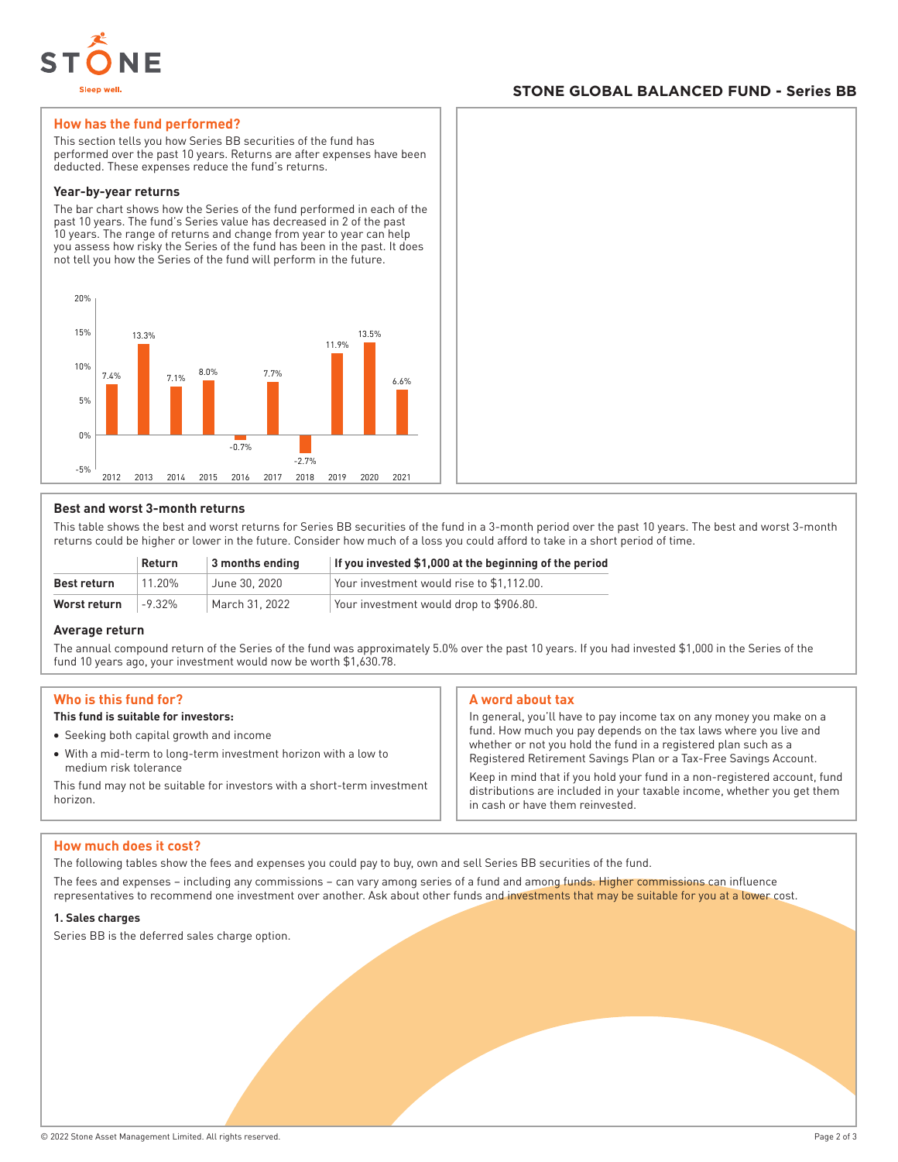

# **STONE GLOBAL BALANCED FUND - Series BB**

## **How has the fund performed?**

This section tells you how Series BB securities of the fund has performed over the past 10 years. Returns are after expenses have been deducted. These expenses reduce the fund's returns.

#### **Year-by-year returns**

The bar chart shows how the Series of the fund performed in each of the past 10 years. The fund's Series value has decreased in 2 of the past 10 years. The range of returns and change from year to year can help you assess how risky the Series of the fund has been in the past. It does not tell you how the Series of the fund will perform in the future.



# **Best and worst 3-month returns**

This table shows the best and worst returns for Series BB securities of the fund in a 3-month period over the past 10 years. The best and worst 3-month returns could be higher or lower in the future. Consider how much of a loss you could afford to take in a short period of time.

|              | <b>Return</b> | $\vert$ 3 months ending | If you invested \$1,000 at the beginning of the period |
|--------------|---------------|-------------------------|--------------------------------------------------------|
| Best return  | 11 20%        | June 30, 2020           | Your investment would rise to \$1.112.00.              |
| Worst return | $-9.32\%$     | March 31, 2022          | Your investment would drop to \$906.80.                |

## **Average return**

The annual compound return of the Series of the fund was approximately 5.0% over the past 10 years. If you had invested \$1,000 in the Series of the fund 10 years ago, your investment would now be worth \$1,630.78.

## **Who is this fund for?**

# **This fund is suitable for investors:**

- Seeking both capital growth and income
- With a mid-term to long-term investment horizon with a low to medium risk tolerance

This fund may not be suitable for investors with a short-term investment horizon.

## **A word about tax**

In general, you'll have to pay income tax on any money you make on a fund. How much you pay depends on the tax laws where you live and whether or not you hold the fund in a registered plan such as a Registered Retirement Savings Plan or a Tax-Free Savings Account.

Keep in mind that if you hold your fund in a non-registered account, fund distributions are included in your taxable income, whether you get them in cash or have them reinvested.

## **How much does it cost?**

The following tables show the fees and expenses you could pay to buy, own and sell Series BB securities of the fund.

The fees and expenses – including any commissions – can vary among series of a fund and among funds. Higher commissions can influence representatives to recommend one investment over another. Ask about other funds and investments that may be suitable for you at a lower cost.

#### **1. Sales charges**

Series BB is the deferred sales charge option.